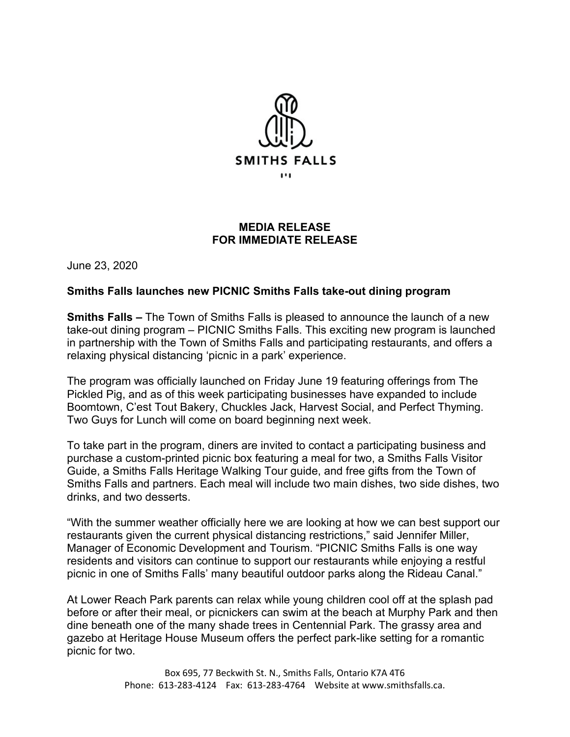

## **MEDIA RELEASE FOR IMMEDIATE RELEASE**

June 23, 2020

## **Smiths Falls launches new PICNIC Smiths Falls take-out dining program**

**Smiths Falls –** The Town of Smiths Falls is pleased to announce the launch of a new take-out dining program – PICNIC Smiths Falls. This exciting new program is launched in partnership with the Town of Smiths Falls and participating restaurants, and offers a relaxing physical distancing 'picnic in a park' experience.

The program was officially launched on Friday June 19 featuring offerings from The Pickled Pig, and as of this week participating businesses have expanded to include Boomtown, C'est Tout Bakery, Chuckles Jack, Harvest Social, and Perfect Thyming. Two Guys for Lunch will come on board beginning next week.

To take part in the program, diners are invited to contact a participating business and purchase a custom-printed picnic box featuring a meal for two, a Smiths Falls Visitor Guide, a Smiths Falls Heritage Walking Tour guide, and free gifts from the Town of Smiths Falls and partners. Each meal will include two main dishes, two side dishes, two drinks, and two desserts.

"With the summer weather officially here we are looking at how we can best support our restaurants given the current physical distancing restrictions," said Jennifer Miller, Manager of Economic Development and Tourism. "PICNIC Smiths Falls is one way residents and visitors can continue to support our restaurants while enjoying a restful picnic in one of Smiths Falls' many beautiful outdoor parks along the Rideau Canal."

At Lower Reach Park parents can relax while young children cool off at the splash pad before or after their meal, or picnickers can swim at the beach at Murphy Park and then dine beneath one of the many shade trees in Centennial Park. The grassy area and gazebo at Heritage House Museum offers the perfect park-like setting for a romantic picnic for two.

> Box 695, 77 Beckwith St. N., Smiths Falls, Ontario K7A 4T6 Phone: 613-283-4124 Fax: 613-283-4764 Website at www.smithsfalls.ca.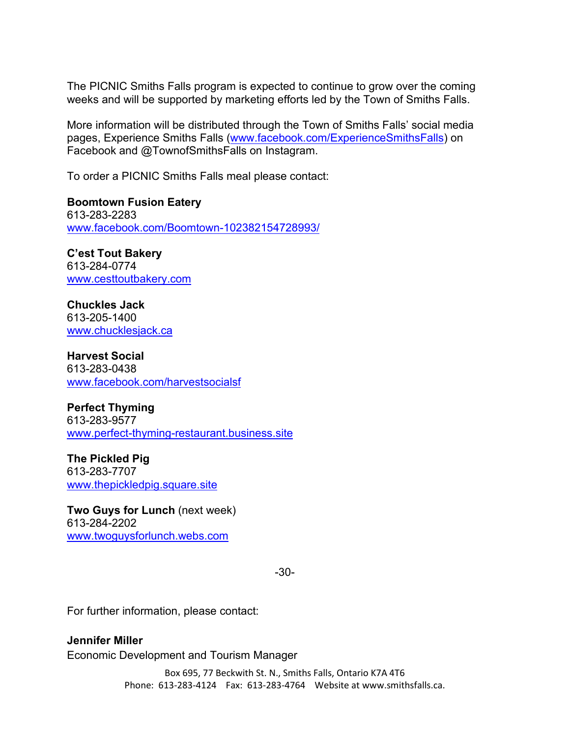The PICNIC Smiths Falls program is expected to continue to grow over the coming weeks and will be supported by marketing efforts led by the Town of Smiths Falls.

More information will be distributed through the Town of Smiths Falls' social media pages, Experience Smiths Falls [\(www.facebook.com/ExperienceSmithsFalls\)](http://www.facebook.com/ExperienceSmithsFalls) on Facebook and @TownofSmithsFalls on Instagram.

To order a PICNIC Smiths Falls meal please contact:

**Boomtown Fusion Eatery**  613-283-2283 [www.facebook.com/Boomtown-102382154728993/](http://www.facebook.com/Boomtown-102382154728993/)

**C'est Tout Bakery** 613-284-0774 [www.cesttoutbakery.com](http://www.cesttoutbakery.com/)

**Chuckles Jack** 613-205-1400 [www.chucklesjack.ca](http://www.chucklesjack.ca/)

**Harvest Social** 613-283-0438 [www.facebook.com/harvestsocialsf](http://www.facebook.com/harvestsocialsf)

**Perfect Thyming** 613-283-9577 [www.perfect-thyming-restaurant.business.site](http://www.perfect-thyming-restaurant.business.site/)

**The Pickled Pig** 613-283-7707 [www.thepickledpig.square.site](http://www.thepickledpig.square.site/)

**Two Guys for Lunch** (next week) 613-284-2202 [www.twoguysforlunch.webs.com](http://www.twoguysforlunch.webs.com/)

-30-

For further information, please contact:

**Jennifer Miller** Economic Development and Tourism Manager

> Box 695, 77 Beckwith St. N., Smiths Falls, Ontario K7A 4T6 Phone: 613-283-4124 Fax: 613-283-4764 Website at www.smithsfalls.ca.